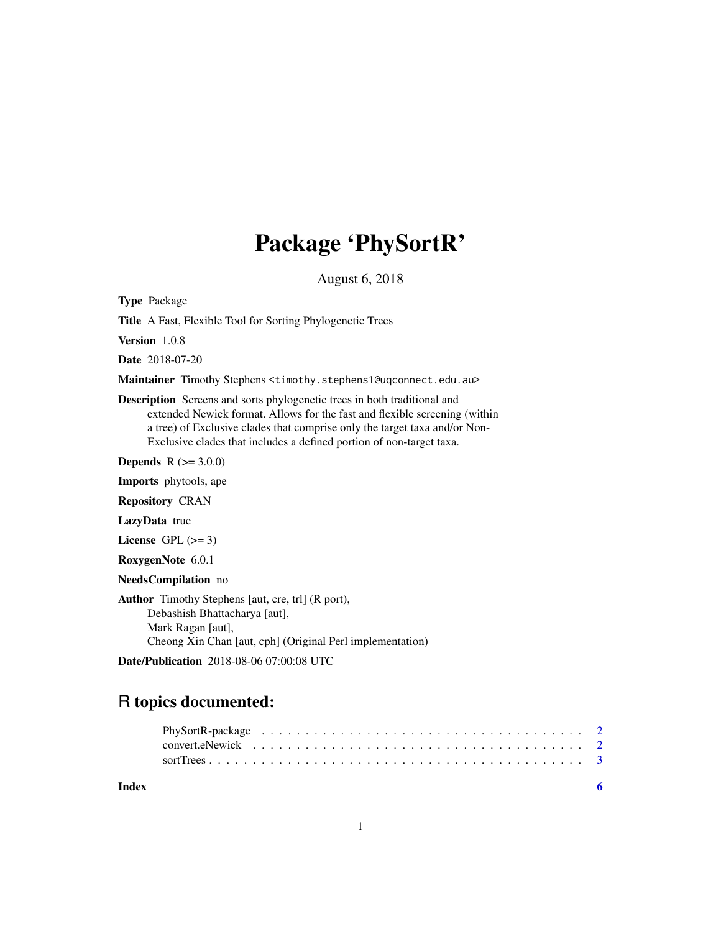## Package 'PhySortR'

August 6, 2018

<span id="page-0-0"></span>Type Package

Title A Fast, Flexible Tool for Sorting Phylogenetic Trees

Version 1.0.8

Date 2018-07-20

Maintainer Timothy Stephens <timothy.stephens1@uqconnect.edu.au>

Description Screens and sorts phylogenetic trees in both traditional and extended Newick format. Allows for the fast and flexible screening (within a tree) of Exclusive clades that comprise only the target taxa and/or Non-Exclusive clades that includes a defined portion of non-target taxa.

**Depends**  $R (= 3.0.0)$ 

Imports phytools, ape

Repository CRAN

LazyData true

License GPL  $(>= 3)$ 

RoxygenNote 6.0.1

NeedsCompilation no

Author Timothy Stephens [aut, cre, trl] (R port), Debashish Bhattacharya [aut], Mark Ragan [aut], Cheong Xin Chan [aut, cph] (Original Perl implementation)

Date/Publication 2018-08-06 07:00:08 UTC

### R topics documented:

| Index |  |
|-------|--|
|       |  |
|       |  |
|       |  |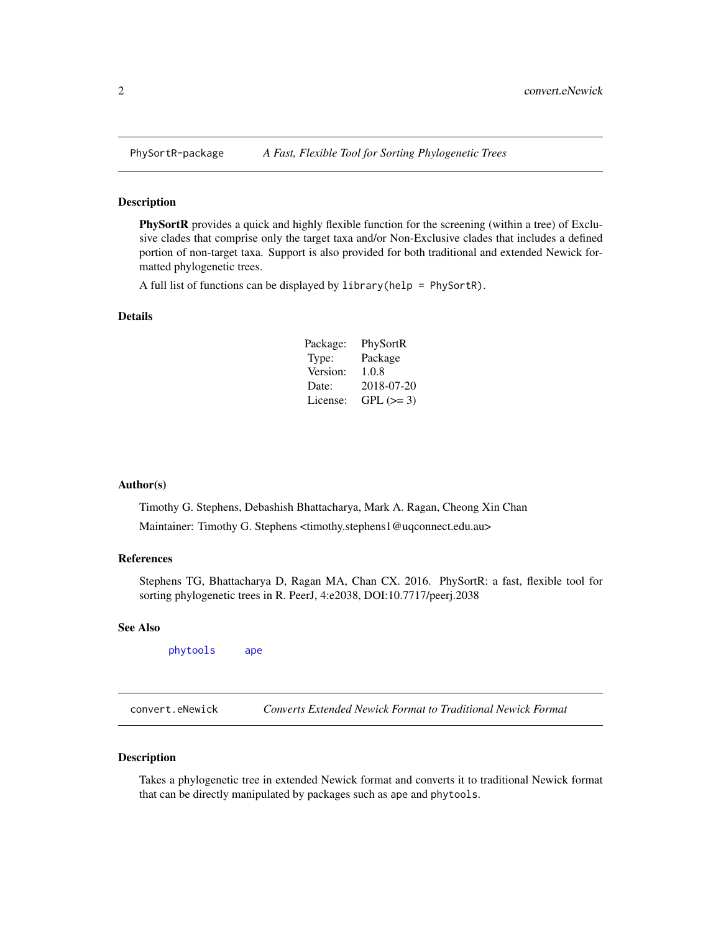<span id="page-1-0"></span>

#### Description

PhySortR provides a quick and highly flexible function for the screening (within a tree) of Exclusive clades that comprise only the target taxa and/or Non-Exclusive clades that includes a defined portion of non-target taxa. Support is also provided for both traditional and extended Newick formatted phylogenetic trees.

A full list of functions can be displayed by library(help = PhySortR).

#### Details

| Package: | PhySortR   |
|----------|------------|
| Type:    | Package    |
| Version: | 1.0.8      |
| Date:    | 2018-07-20 |
| License: | $GPL (=3)$ |

#### Author(s)

Timothy G. Stephens, Debashish Bhattacharya, Mark A. Ragan, Cheong Xin Chan Maintainer: Timothy G. Stephens <timothy.stephens1@uqconnect.edu.au>

#### References

Stephens TG, Bhattacharya D, Ragan MA, Chan CX. 2016. PhySortR: a fast, flexible tool for sorting phylogenetic trees in R. PeerJ, 4:e2038, DOI:10.7717/peerj.2038

#### See Also

[phytools](#page-0-0) [ape](#page-0-0)

convert.eNewick *Converts Extended Newick Format to Traditional Newick Format*

#### Description

Takes a phylogenetic tree in extended Newick format and converts it to traditional Newick format that can be directly manipulated by packages such as ape and phytools.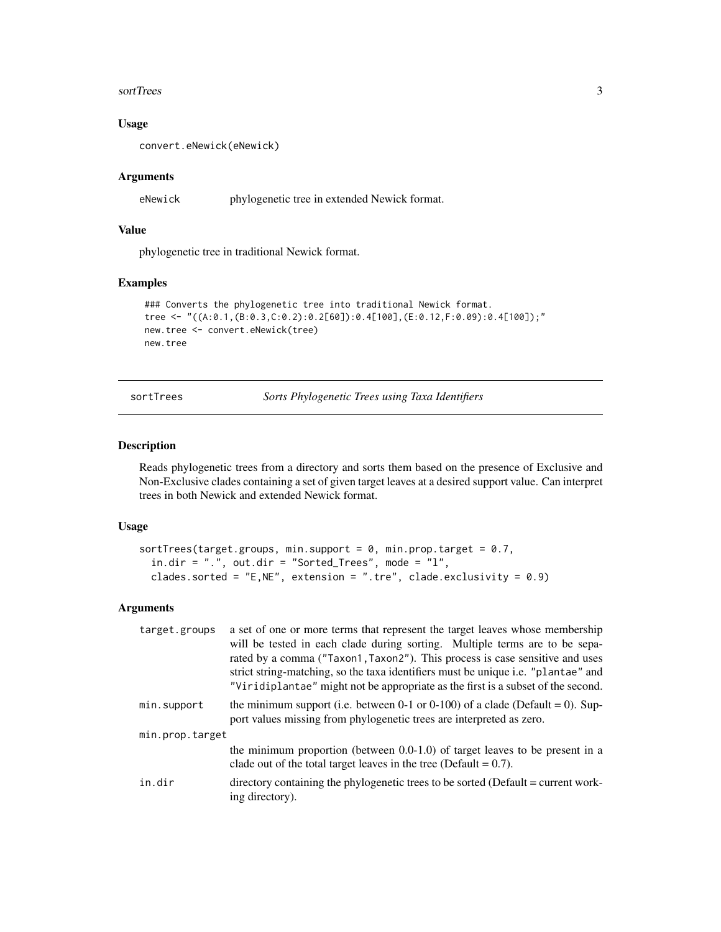#### <span id="page-2-0"></span>sortTrees 3

#### Usage

convert.eNewick(eNewick)

#### Arguments

eNewick phylogenetic tree in extended Newick format.

#### Value

phylogenetic tree in traditional Newick format.

#### Examples

```
### Converts the phylogenetic tree into traditional Newick format.
tree <- "((A:0.1,(B:0.3,C:0.2):0.2[60]):0.4[100],(E:0.12,F:0.09):0.4[100]);"
new.tree <- convert.eNewick(tree)
new.tree
```
sortTrees *Sorts Phylogenetic Trees using Taxa Identifiers*

#### Description

Reads phylogenetic trees from a directory and sorts them based on the presence of Exclusive and Non-Exclusive clades containing a set of given target leaves at a desired support value. Can interpret trees in both Newick and extended Newick format.

#### Usage

```
sortTrees(target.groups, min.support = 0, min.prop.target = 0.7,
  in.dir = "., out.dir = "Sorted_Trees", mode = "1",clades.sorted = "E, NE", extension = ".tre", clade.exclusivity = 0.9)
```
#### Arguments

| target.groups   | a set of one or more terms that represent the target leaves whose membership                                                                                      |
|-----------------|-------------------------------------------------------------------------------------------------------------------------------------------------------------------|
|                 | will be tested in each clade during sorting. Multiple terms are to be sepa-                                                                                       |
|                 | rated by a comma ("Taxon1, Taxon2"). This process is case sensitive and uses<br>strict string-matching, so the taxa identifiers must be unique i.e. "plantae" and |
|                 | "Viridiplantae" might not be appropriate as the first is a subset of the second.                                                                                  |
| min.support     | the minimum support (i.e. between 0-1 or 0-100) of a clade (Default = 0). Sup-<br>port values missing from phylogenetic trees are interpreted as zero.            |
| min.prop.target |                                                                                                                                                                   |
|                 | the minimum proportion (between $0.0\n-1.0$ ) of target leaves to be present in a<br>clade out of the total target leaves in the tree (Default = $0.7$ ).         |
| in.dir          | directory containing the phylogenetic trees to be sorted (Default = current work-<br>ing directory).                                                              |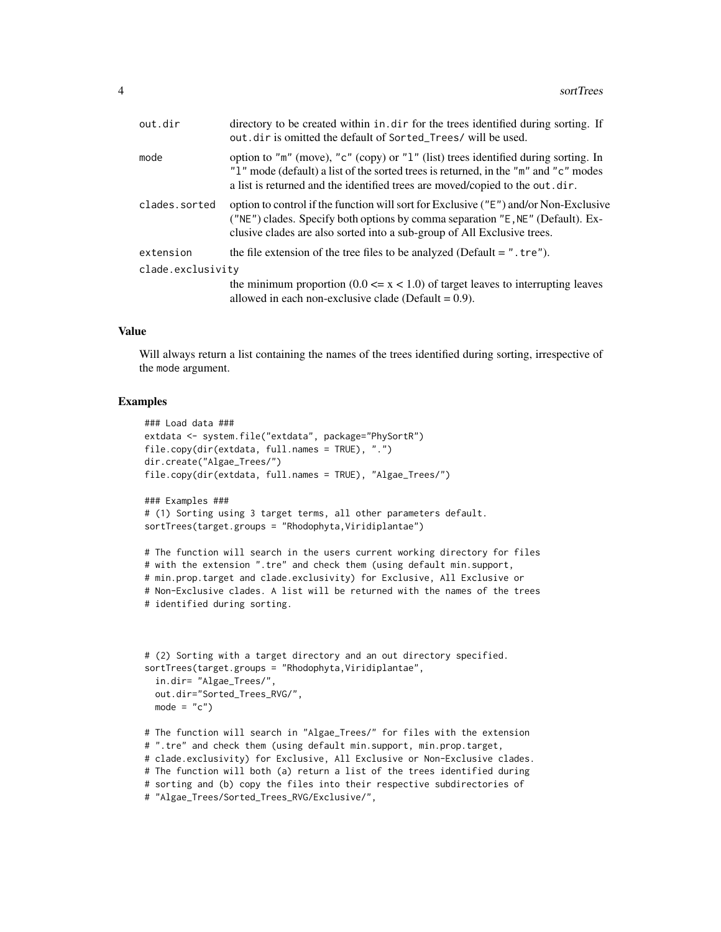| out.dir           | directory to be created within in. dir for the trees identified during sorting. If<br>out dir is omitted the default of Sorted_Trees/ will be used.                                                                                                        |
|-------------------|------------------------------------------------------------------------------------------------------------------------------------------------------------------------------------------------------------------------------------------------------------|
| mode              | option to "m" (move), "c" (copy) or "l" (list) trees identified during sorting. In<br>"1" mode (default) a list of the sorted trees is returned, in the "m" and "c" modes<br>a list is returned and the identified trees are moved/copied to the out odir. |
| clades.sorted     | option to control if the function will sort for Exclusive ("E") and/or Non-Exclusive<br>("NE") clades. Specify both options by comma separation "E, NE" (Default). Ex-<br>clusive clades are also sorted into a sub-group of All Exclusive trees.          |
| extension         | the file extension of the tree files to be analyzed (Default $=$ ". tre").                                                                                                                                                                                 |
| clade.exclusivity |                                                                                                                                                                                                                                                            |
|                   | the minimum proportion $(0.0 \le x \le 1.0)$ of target leaves to interrupting leaves<br>allowed in each non-exclusive clade (Default = $0.9$ ).                                                                                                            |

#### Value

Will always return a list containing the names of the trees identified during sorting, irrespective of the mode argument.

#### Examples

```
### Load data ###
extdata <- system.file("extdata", package="PhySortR")
file.copy(dir(extdata, full.names = TRUE), ".")
dir.create("Algae_Trees/")
file.copy(dir(extdata, full.names = TRUE), "Algae_Trees/")
```

```
### Examples ###
# (1) Sorting using 3 target terms, all other parameters default.
sortTrees(target.groups = "Rhodophyta, Viridiplantae")
```

```
# The function will search in the users current working directory for files
# with the extension ".tre" and check them (using default min.support,
# min.prop.target and clade.exclusivity) for Exclusive, All Exclusive or
# Non-Exclusive clades. A list will be returned with the names of the trees
# identified during sorting.
```

```
# (2) Sorting with a target directory and an out directory specified.
sortTrees(target.groups = "Rhodophyta,Viridiplantae",
```

```
in.dir= "Algae_Trees/",
out.dir="Sorted_Trees_RVG/",
mode = "c")
```

```
# The function will search in "Algae_Trees/" for files with the extension
# ".tre" and check them (using default min.support, min.prop.target,
# clade.exclusivity) for Exclusive, All Exclusive or Non-Exclusive clades.
# The function will both (a) return a list of the trees identified during
# sorting and (b) copy the files into their respective subdirectories of
# "Algae_Trees/Sorted_Trees_RVG/Exclusive/",
```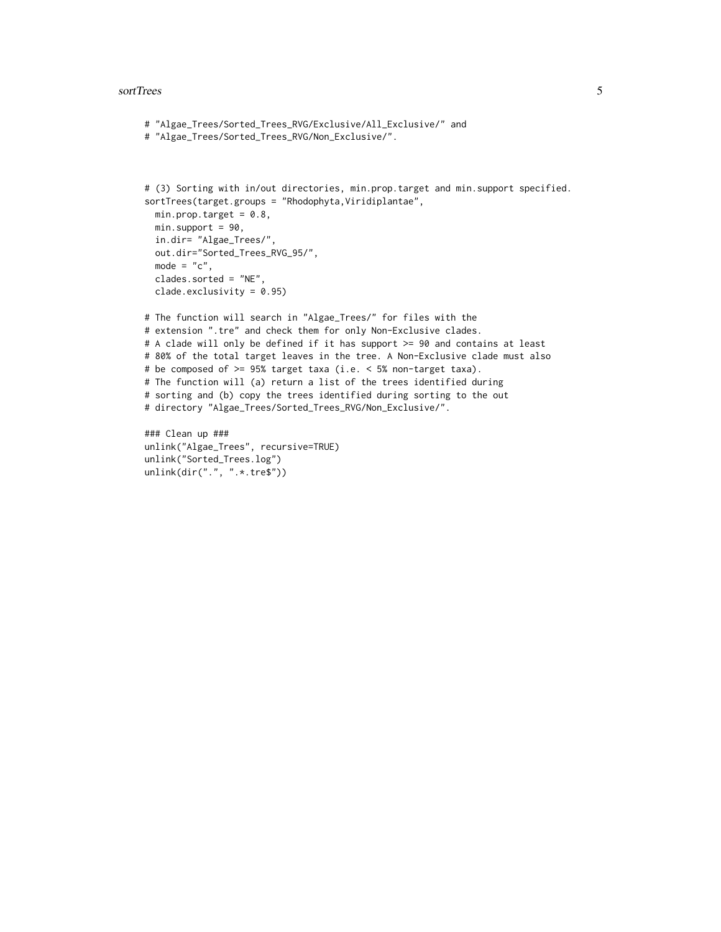#### sortTrees 5

```
# "Algae_Trees/Sorted_Trees_RVG/Exclusive/All_Exclusive/" and
# "Algae_Trees/Sorted_Trees_RVG/Non_Exclusive/".
# (3) Sorting with in/out directories, min.prop.target and min.support specified.
sortTrees(target.groups = "Rhodophyta, Viridiplantae",
  min.prop.target = 0.8,
  min.support = 90,
  in.dir= "Algae_Trees/",
  out.dir="Sorted_Trees_RVG_95/",
  mode = "c",clades.sorted = "NE",
  clade.exclusivity = 0.95)
# The function will search in "Algae_Trees/" for files with the
# extension ".tre" and check them for only Non-Exclusive clades.
# A clade will only be defined if it has support >= 90 and contains at least
# 80% of the total target leaves in the tree. A Non-Exclusive clade must also
# be composed of >= 95% target taxa (i.e. < 5% non-target taxa).
# The function will (a) return a list of the trees identified during
# sorting and (b) copy the trees identified during sorting to the out
# directory "Algae_Trees/Sorted_Trees_RVG/Non_Exclusive/".
### Clean up ###
unlink("Algae_Trees", recursive=TRUE)
```

```
unlink("Sorted_Trees.log")
unlink(dir(".", ".*.tre$"))
```